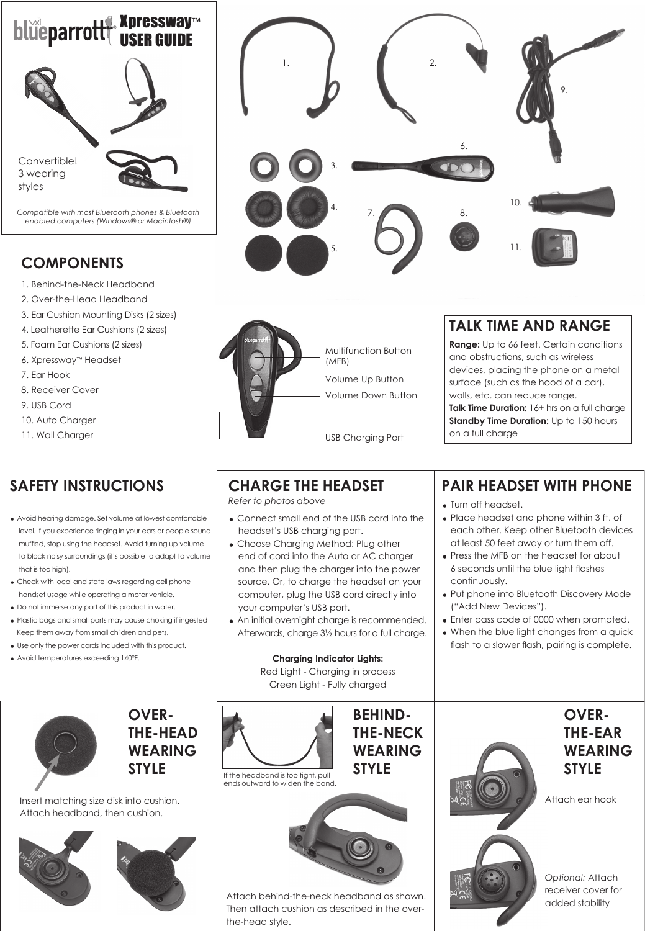

*Compatible with most Bluetooth phones & Bluetooth enabled computers (Windows® or Macintosh®)* 

## **COMPONENTS**

- 1. Behind-the-Neck Headband
- 2. Over-the-Head Headband
- 3. Ear Cushion Mounting Disks (2 sizes)
- 4. Leatherette Ear Cushions (2 sizes)
- 5. Foam Ear Cushions (2 sizes)
- 6. Xpressway™ Headset
- 7. Ear Hook
- 8. Receiver Cover
- 9. USB Cord
- 10. Auto Charger
- 11. Wall Charger

# **SAFETY INSTRUCTIONS**

- Avoid hearing damage. Set volume at lowest comfortable level. If you experience ringing in your ears or people sound muffled, stop using the headset. Avoid turning up volume to block noisy surroundings (it's possible to adapt to volume that is too high).
- = Check with local and state laws regarding cell phone handset usage while operating a motor vehicle.
- = Do not immerse any part of this product in water.
- = Plastic bags and small parts may cause choking if ingested Keep them away from small children and pets.
- Use only the power cords included with this product.
- = Avoid temperatures exceeding 140°F.



**OVER-THE-HEAD WEARING STYLE**

Insert matching size disk into cushion. Attach headband, then cushion.









## **TALK TIME AND RANGE**

**Range:** Up to 66 feet. Certain conditions and obstructions, such as wireless devices, placing the phone on a metal surface (such as the hood of a car), walls, etc. can reduce range. **Talk Time Duration:** 16+ hrs on a full charge

**Standby Time Duration:** Up to 150 hours on a full charge

# **CHARGE THE HEADSET**

*Refer to photos above*

the-head style.

- Connect small end of the USB cord into the headset's USB charging port.
- Choose Charging Method: Plug other end of cord into the Auto or AC charger and then plug the charger into the power source. Or, to charge the headset on your computer, plug the USB cord directly into your computer's USB port.
- An initial overnight charge is recommended. Afterwards, charge 3½ hours for a full charge.

**Charging Indicator Lights:**

Red Light - Charging in process Green Light - Fully charged



**PAIR HEADSET WITH PHONE** 

- Turn off headset.
- Place headset and phone within 3 ft. of each other. Keep other Bluetooth devices at least 50 feet away or turn them off.
- Press the MFB on the headset for about 6 seconds until the blue light flashes continuously.
- Put phone into Bluetooth Discovery Mode ("Add New Devices").
- Enter pass code of 0000 when prompted.
- When the blue light changes from a quick flash to a slower flash, pairing is complete.